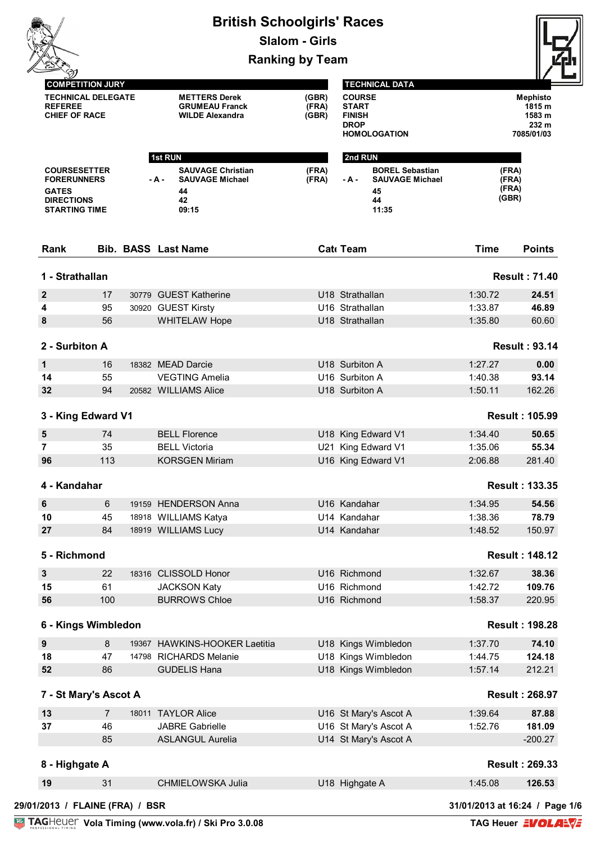|                                                                                                        |                                                      | <b>British Schoolgirls' Races</b>                                                | <b>Slalom - Girls</b>   |                                                               |                                                                       |                                  |                                                            |
|--------------------------------------------------------------------------------------------------------|------------------------------------------------------|----------------------------------------------------------------------------------|-------------------------|---------------------------------------------------------------|-----------------------------------------------------------------------|----------------------------------|------------------------------------------------------------|
|                                                                                                        |                                                      |                                                                                  | <b>Ranking by Team</b>  |                                                               |                                                                       |                                  |                                                            |
| <b>REFEREE</b><br><b>CHIEF OF RACE</b>                                                                 | <b>COMPETITION JURY</b><br><b>TECHNICAL DELEGATE</b> | <b>METTERS Derek</b><br><b>GRUMEAU Franck</b><br><b>WILDE Alexandra</b>          | (GBR)<br>(FRA)<br>(GBR) | <b>COURSE</b><br><b>START</b><br><b>FINISH</b><br><b>DROP</b> | <b>TECHNICAL DATA</b><br><b>HOMOLOGATION</b>                          |                                  | <b>Mephisto</b><br>1815 m<br>1583 m<br>232 m<br>7085/01/03 |
|                                                                                                        |                                                      | <b>1st RUN</b>                                                                   |                         | 2nd RUN                                                       |                                                                       |                                  |                                                            |
| <b>COURSESETTER</b><br><b>FORERUNNERS</b><br><b>GATES</b><br><b>DIRECTIONS</b><br><b>STARTING TIME</b> |                                                      | <b>SAUVAGE Christian</b><br><b>SAUVAGE Michael</b><br>- A -<br>44<br>42<br>09:15 | (FRA)<br>(FRA)          | - A -                                                         | <b>BOREL Sebastian</b><br><b>SAUVAGE Michael</b><br>45<br>44<br>11:35 | (FRA)<br>(FRA)<br>(FRA)<br>(GBR) |                                                            |
| Rank                                                                                                   |                                                      | <b>Bib. BASS Last Name</b>                                                       |                         | Cat Team                                                      |                                                                       | <b>Time</b>                      | <b>Points</b>                                              |
| 1 - Strathallan                                                                                        |                                                      |                                                                                  |                         |                                                               |                                                                       |                                  | <b>Result: 71.40</b>                                       |
| $\boldsymbol{2}$                                                                                       | 17                                                   | 30779 GUEST Katherine                                                            |                         | U18 Strathallan                                               |                                                                       | 1:30.72                          | 24.51                                                      |
| 4                                                                                                      | 95                                                   | 30920 GUEST Kirsty                                                               |                         | U16 Strathallan                                               |                                                                       | 1:33.87                          | 46.89                                                      |
| 8                                                                                                      | 56                                                   | <b>WHITELAW Hope</b>                                                             |                         | U18 Strathallan                                               |                                                                       | 1:35.80                          | 60.60                                                      |
| 2 - Surbiton A                                                                                         |                                                      |                                                                                  |                         |                                                               |                                                                       |                                  | <b>Result: 93.14</b>                                       |
| 1                                                                                                      | 16                                                   | 18382 MEAD Darcie                                                                |                         | U18 Surbiton A                                                |                                                                       | 1:27.27                          | 0.00                                                       |
| 14                                                                                                     | 55                                                   | <b>VEGTING Amelia</b>                                                            |                         | U16 Surbiton A                                                |                                                                       | 1:40.38                          | 93.14                                                      |
| 32                                                                                                     | 94                                                   | 20582 WILLIAMS Alice                                                             |                         | U18 Surbiton A                                                |                                                                       | 1:50.11                          | 162.26                                                     |
| 3 - King Edward V1                                                                                     |                                                      |                                                                                  |                         |                                                               |                                                                       |                                  | <b>Result: 105.99</b>                                      |
| 5                                                                                                      | 74                                                   | <b>BELL Florence</b>                                                             |                         |                                                               | U18 King Edward V1                                                    | 1:34.40                          | 50.65                                                      |
| 7                                                                                                      | 35                                                   | <b>BELL Victoria</b>                                                             |                         |                                                               | U21 King Edward V1                                                    | 1:35.06                          | 55.34                                                      |
| 96                                                                                                     | 113                                                  | KORSGEN Miriam                                                                   |                         |                                                               | U16 King Edward V1                                                    | 2:06.88                          | 281.40                                                     |
| 4 - Kandahar                                                                                           |                                                      |                                                                                  |                         |                                                               |                                                                       |                                  | <b>Result: 133.35</b>                                      |
| 6                                                                                                      | 6                                                    | 19159 HENDERSON Anna                                                             |                         | U16 Kandahar                                                  |                                                                       | 1:34.95                          | 54.56                                                      |
| 10                                                                                                     | 45                                                   | 18918 WILLIAMS Katya                                                             |                         | U14 Kandahar                                                  |                                                                       | 1:38.36                          | 78.79                                                      |
| 27                                                                                                     | 84                                                   | 18919 WILLIAMS Lucy                                                              |                         | U14 Kandahar                                                  |                                                                       | 1:48.52                          | 150.97                                                     |
| 5 - Richmond                                                                                           |                                                      |                                                                                  |                         |                                                               |                                                                       |                                  | <b>Result: 148.12</b>                                      |
| 3                                                                                                      | 22                                                   | 18316 CLISSOLD Honor                                                             |                         | U16 Richmond                                                  |                                                                       | 1:32.67                          | 38.36                                                      |
| 15                                                                                                     | 61                                                   | <b>JACKSON Katy</b>                                                              |                         | U16 Richmond                                                  |                                                                       | 1:42.72                          | 109.76                                                     |
| 56                                                                                                     | 100                                                  | <b>BURROWS Chloe</b>                                                             |                         | U16 Richmond                                                  |                                                                       | 1:58.37                          | 220.95                                                     |
| 6 - Kings Wimbledon                                                                                    |                                                      |                                                                                  |                         |                                                               |                                                                       |                                  | <b>Result: 198.28</b>                                      |
| $\boldsymbol{9}$                                                                                       | 8                                                    | 19367 HAWKINS-HOOKER Laetitia                                                    |                         |                                                               | U18 Kings Wimbledon                                                   | 1:37.70                          | 74.10                                                      |
| 18                                                                                                     | 47                                                   | 14798 RICHARDS Melanie                                                           |                         |                                                               | U18 Kings Wimbledon                                                   | 1:44.75                          | 124.18                                                     |
| 52                                                                                                     | 86                                                   | <b>GUDELIS Hana</b>                                                              |                         |                                                               | U18 Kings Wimbledon                                                   | 1:57.14                          | 212.21                                                     |
| 7 - St Mary's Ascot A                                                                                  |                                                      |                                                                                  |                         |                                                               |                                                                       |                                  | <b>Result: 268.97</b>                                      |
| 13                                                                                                     | $\overline{7}$                                       | 18011 TAYLOR Alice                                                               |                         |                                                               | U16 St Mary's Ascot A                                                 | 1:39.64                          | 87.88                                                      |
| 37                                                                                                     | 46                                                   | <b>JABRE Gabrielle</b>                                                           |                         |                                                               | U16 St Mary's Ascot A                                                 | 1:52.76                          | 181.09                                                     |
|                                                                                                        | 85                                                   | <b>ASLANGUL Aurelia</b>                                                          |                         |                                                               | U14 St Mary's Ascot A                                                 |                                  | $-200.27$                                                  |
| 8 - Highgate A                                                                                         |                                                      |                                                                                  |                         |                                                               |                                                                       |                                  | <b>Result: 269.33</b>                                      |
| 19                                                                                                     | 31                                                   | CHMIELOWSKA Julia                                                                |                         | U18 Highgate A                                                |                                                                       | 1:45.08                          | 126.53                                                     |

**Vola Timing (www.vola.fr) / Ski Pro 3.0.08**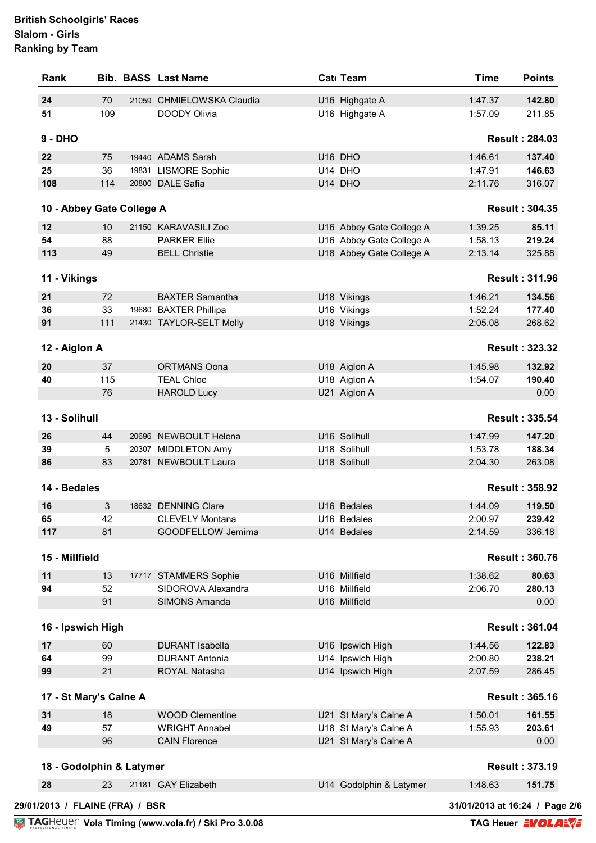| 70<br>U16 Highgate A<br>1:47.37<br>142.80<br>21059 CHMIELOWSKA Claudia<br>109<br>U16 Highgate A<br>DOODY Olivia<br>1:57.09<br>211.85<br><b>Result: 284.03</b><br>U16 DHO<br>1:46.61<br>137.40<br>75<br>19440 ADAMS Sarah<br>146.63<br>36<br>19831 LISMORE Sophie<br>U14 DHO<br>1:47.91<br>20800 DALE Safia<br>114<br>U14 DHO<br>2:11.76<br>316.07<br><b>Result: 304.35</b><br>10 - Abbey Gate College A<br>85.11<br>10<br>21150 KARAVASILI Zoe<br>U16 Abbey Gate College A<br>1:39.25<br>54<br>88<br><b>PARKER Ellie</b><br>U16 Abbey Gate College A<br>1:58.13<br>219.24<br>113<br><b>BELL Christie</b><br>U18 Abbey Gate College A<br>2:13.14<br>325.88<br>49<br>11 - Vikings<br><b>Result: 311.96</b><br>72<br>1:46.21<br>134.56<br><b>BAXTER Samantha</b><br>U18 Vikings<br>33<br>U16 Vikings<br>1:52.24<br>177.40<br>19680 BAXTER Phillipa<br>111<br>21430 TAYLOR-SELT Molly<br>U18 Vikings<br>268.62<br>2:05.08<br><b>Result: 323.32</b><br>12 - Aiglon A<br>20<br>1:45.98<br>132.92<br>37<br><b>ORTMANS Oona</b><br>U18 Aiglon A<br>40<br>115<br><b>TEAL Chloe</b><br>U18 Aiglon A<br>1:54.07<br>190.40<br>76<br><b>HAROLD Lucy</b><br>U21 Aiglon A<br>0.00<br>13 - Solihull<br><b>Result: 335.54</b><br>20696 NEWBOULT Helena<br>U16 Solihull<br>1:47.99<br>147.20<br>44<br>5<br>20307 MIDDLETON Amy<br>U18 Solihull<br>1:53.78<br>188.34<br>83<br>20781 NEWBOULT Laura<br>U18 Solihull<br>2:04.30<br>263.08<br>14 - Bedales<br><b>Result: 358.92</b><br>18632 DENNING Clare<br>U16 Bedales<br>1:44.09<br>119.50<br>3<br>42<br>2:00.97<br>239.42<br>U16 Bedales<br><b>CLEVELY Montana</b><br>81<br>GOODFELLOW Jemima<br>2:14.59<br>U14 Bedales<br>336.18<br>15 - Millfield<br><b>Result: 360.76</b><br>U16 Millfield<br>1:38.62<br>80.63<br>11<br>13<br>17717 STAMMERS Sophie<br>52<br>280.13<br>94<br>SIDOROVA Alexandra<br>U16 Millfield<br>2:06.70<br>91<br>SIMONS Amanda<br>U16 Millfield<br>0.00<br>16 - Ipswich High<br><b>Result: 361.04</b><br>60<br><b>DURANT Isabella</b><br>U16 Ipswich High<br>1:44.56<br>122.83<br>99<br>U14 Ipswich High<br>2:00.80<br>238.21<br><b>DURANT Antonia</b><br>U14 Ipswich High<br>21<br>2:07.59<br>286.45<br>ROYAL Natasha<br>17 - St Mary's Calne A<br><b>Result: 365.16</b><br><b>WOOD Clementine</b><br>1:50.01<br>161.55<br>18<br>U21 St Mary's Calne A<br>49<br>57<br><b>WRIGHT Annabel</b><br>U18 St Mary's Calne A<br>203.61<br>1:55.93<br>U21 St Mary's Calne A<br>96<br><b>CAIN Florence</b><br>0.00<br>18 - Godolphin & Latymer<br><b>Result: 373.19</b><br>23<br>U14 Godolphin & Latymer<br>1:48.63<br>151.75<br>21181 GAY Elizabeth | 29/01/2013 / FLAINE (FRA) / BSR<br>31/01/2013 at 16:24 / Page 2/6 | Rank      |  | <b>Bib. BASS Last Name</b> | Cat Team | <b>Time</b> | <b>Points</b> |
|---------------------------------------------------------------------------------------------------------------------------------------------------------------------------------------------------------------------------------------------------------------------------------------------------------------------------------------------------------------------------------------------------------------------------------------------------------------------------------------------------------------------------------------------------------------------------------------------------------------------------------------------------------------------------------------------------------------------------------------------------------------------------------------------------------------------------------------------------------------------------------------------------------------------------------------------------------------------------------------------------------------------------------------------------------------------------------------------------------------------------------------------------------------------------------------------------------------------------------------------------------------------------------------------------------------------------------------------------------------------------------------------------------------------------------------------------------------------------------------------------------------------------------------------------------------------------------------------------------------------------------------------------------------------------------------------------------------------------------------------------------------------------------------------------------------------------------------------------------------------------------------------------------------------------------------------------------------------------------------------------------------------------------------------------------------------------------------------------------------------------------------------------------------------------------------------------------------------------------------------------------------------------------------------------------------------------------------------------------------------------------------------------------------------------------------------------------------------------------------------------------------------------------------------------------------------------------------------------|-------------------------------------------------------------------|-----------|--|----------------------------|----------|-------------|---------------|
|                                                                                                                                                                                                                                                                                                                                                                                                                                                                                                                                                                                                                                                                                                                                                                                                                                                                                                                                                                                                                                                                                                                                                                                                                                                                                                                                                                                                                                                                                                                                                                                                                                                                                                                                                                                                                                                                                                                                                                                                                                                                                                                                                                                                                                                                                                                                                                                                                                                                                                                                                                                                   |                                                                   | 24        |  |                            |          |             |               |
|                                                                                                                                                                                                                                                                                                                                                                                                                                                                                                                                                                                                                                                                                                                                                                                                                                                                                                                                                                                                                                                                                                                                                                                                                                                                                                                                                                                                                                                                                                                                                                                                                                                                                                                                                                                                                                                                                                                                                                                                                                                                                                                                                                                                                                                                                                                                                                                                                                                                                                                                                                                                   |                                                                   | 51        |  |                            |          |             |               |
|                                                                                                                                                                                                                                                                                                                                                                                                                                                                                                                                                                                                                                                                                                                                                                                                                                                                                                                                                                                                                                                                                                                                                                                                                                                                                                                                                                                                                                                                                                                                                                                                                                                                                                                                                                                                                                                                                                                                                                                                                                                                                                                                                                                                                                                                                                                                                                                                                                                                                                                                                                                                   |                                                                   | $9 - DHO$ |  |                            |          |             |               |
|                                                                                                                                                                                                                                                                                                                                                                                                                                                                                                                                                                                                                                                                                                                                                                                                                                                                                                                                                                                                                                                                                                                                                                                                                                                                                                                                                                                                                                                                                                                                                                                                                                                                                                                                                                                                                                                                                                                                                                                                                                                                                                                                                                                                                                                                                                                                                                                                                                                                                                                                                                                                   |                                                                   | 22        |  |                            |          |             |               |
|                                                                                                                                                                                                                                                                                                                                                                                                                                                                                                                                                                                                                                                                                                                                                                                                                                                                                                                                                                                                                                                                                                                                                                                                                                                                                                                                                                                                                                                                                                                                                                                                                                                                                                                                                                                                                                                                                                                                                                                                                                                                                                                                                                                                                                                                                                                                                                                                                                                                                                                                                                                                   |                                                                   | 25        |  |                            |          |             |               |
|                                                                                                                                                                                                                                                                                                                                                                                                                                                                                                                                                                                                                                                                                                                                                                                                                                                                                                                                                                                                                                                                                                                                                                                                                                                                                                                                                                                                                                                                                                                                                                                                                                                                                                                                                                                                                                                                                                                                                                                                                                                                                                                                                                                                                                                                                                                                                                                                                                                                                                                                                                                                   |                                                                   | 108       |  |                            |          |             |               |
|                                                                                                                                                                                                                                                                                                                                                                                                                                                                                                                                                                                                                                                                                                                                                                                                                                                                                                                                                                                                                                                                                                                                                                                                                                                                                                                                                                                                                                                                                                                                                                                                                                                                                                                                                                                                                                                                                                                                                                                                                                                                                                                                                                                                                                                                                                                                                                                                                                                                                                                                                                                                   |                                                                   |           |  |                            |          |             |               |
|                                                                                                                                                                                                                                                                                                                                                                                                                                                                                                                                                                                                                                                                                                                                                                                                                                                                                                                                                                                                                                                                                                                                                                                                                                                                                                                                                                                                                                                                                                                                                                                                                                                                                                                                                                                                                                                                                                                                                                                                                                                                                                                                                                                                                                                                                                                                                                                                                                                                                                                                                                                                   |                                                                   | 12        |  |                            |          |             |               |
|                                                                                                                                                                                                                                                                                                                                                                                                                                                                                                                                                                                                                                                                                                                                                                                                                                                                                                                                                                                                                                                                                                                                                                                                                                                                                                                                                                                                                                                                                                                                                                                                                                                                                                                                                                                                                                                                                                                                                                                                                                                                                                                                                                                                                                                                                                                                                                                                                                                                                                                                                                                                   |                                                                   |           |  |                            |          |             |               |
|                                                                                                                                                                                                                                                                                                                                                                                                                                                                                                                                                                                                                                                                                                                                                                                                                                                                                                                                                                                                                                                                                                                                                                                                                                                                                                                                                                                                                                                                                                                                                                                                                                                                                                                                                                                                                                                                                                                                                                                                                                                                                                                                                                                                                                                                                                                                                                                                                                                                                                                                                                                                   |                                                                   |           |  |                            |          |             |               |
|                                                                                                                                                                                                                                                                                                                                                                                                                                                                                                                                                                                                                                                                                                                                                                                                                                                                                                                                                                                                                                                                                                                                                                                                                                                                                                                                                                                                                                                                                                                                                                                                                                                                                                                                                                                                                                                                                                                                                                                                                                                                                                                                                                                                                                                                                                                                                                                                                                                                                                                                                                                                   |                                                                   |           |  |                            |          |             |               |
|                                                                                                                                                                                                                                                                                                                                                                                                                                                                                                                                                                                                                                                                                                                                                                                                                                                                                                                                                                                                                                                                                                                                                                                                                                                                                                                                                                                                                                                                                                                                                                                                                                                                                                                                                                                                                                                                                                                                                                                                                                                                                                                                                                                                                                                                                                                                                                                                                                                                                                                                                                                                   |                                                                   |           |  |                            |          |             |               |
|                                                                                                                                                                                                                                                                                                                                                                                                                                                                                                                                                                                                                                                                                                                                                                                                                                                                                                                                                                                                                                                                                                                                                                                                                                                                                                                                                                                                                                                                                                                                                                                                                                                                                                                                                                                                                                                                                                                                                                                                                                                                                                                                                                                                                                                                                                                                                                                                                                                                                                                                                                                                   |                                                                   | 21        |  |                            |          |             |               |
|                                                                                                                                                                                                                                                                                                                                                                                                                                                                                                                                                                                                                                                                                                                                                                                                                                                                                                                                                                                                                                                                                                                                                                                                                                                                                                                                                                                                                                                                                                                                                                                                                                                                                                                                                                                                                                                                                                                                                                                                                                                                                                                                                                                                                                                                                                                                                                                                                                                                                                                                                                                                   |                                                                   | 36        |  |                            |          |             |               |
|                                                                                                                                                                                                                                                                                                                                                                                                                                                                                                                                                                                                                                                                                                                                                                                                                                                                                                                                                                                                                                                                                                                                                                                                                                                                                                                                                                                                                                                                                                                                                                                                                                                                                                                                                                                                                                                                                                                                                                                                                                                                                                                                                                                                                                                                                                                                                                                                                                                                                                                                                                                                   |                                                                   | 91        |  |                            |          |             |               |
|                                                                                                                                                                                                                                                                                                                                                                                                                                                                                                                                                                                                                                                                                                                                                                                                                                                                                                                                                                                                                                                                                                                                                                                                                                                                                                                                                                                                                                                                                                                                                                                                                                                                                                                                                                                                                                                                                                                                                                                                                                                                                                                                                                                                                                                                                                                                                                                                                                                                                                                                                                                                   |                                                                   |           |  |                            |          |             |               |
|                                                                                                                                                                                                                                                                                                                                                                                                                                                                                                                                                                                                                                                                                                                                                                                                                                                                                                                                                                                                                                                                                                                                                                                                                                                                                                                                                                                                                                                                                                                                                                                                                                                                                                                                                                                                                                                                                                                                                                                                                                                                                                                                                                                                                                                                                                                                                                                                                                                                                                                                                                                                   |                                                                   |           |  |                            |          |             |               |
|                                                                                                                                                                                                                                                                                                                                                                                                                                                                                                                                                                                                                                                                                                                                                                                                                                                                                                                                                                                                                                                                                                                                                                                                                                                                                                                                                                                                                                                                                                                                                                                                                                                                                                                                                                                                                                                                                                                                                                                                                                                                                                                                                                                                                                                                                                                                                                                                                                                                                                                                                                                                   |                                                                   |           |  |                            |          |             |               |
|                                                                                                                                                                                                                                                                                                                                                                                                                                                                                                                                                                                                                                                                                                                                                                                                                                                                                                                                                                                                                                                                                                                                                                                                                                                                                                                                                                                                                                                                                                                                                                                                                                                                                                                                                                                                                                                                                                                                                                                                                                                                                                                                                                                                                                                                                                                                                                                                                                                                                                                                                                                                   |                                                                   |           |  |                            |          |             |               |
|                                                                                                                                                                                                                                                                                                                                                                                                                                                                                                                                                                                                                                                                                                                                                                                                                                                                                                                                                                                                                                                                                                                                                                                                                                                                                                                                                                                                                                                                                                                                                                                                                                                                                                                                                                                                                                                                                                                                                                                                                                                                                                                                                                                                                                                                                                                                                                                                                                                                                                                                                                                                   |                                                                   |           |  |                            |          |             |               |
|                                                                                                                                                                                                                                                                                                                                                                                                                                                                                                                                                                                                                                                                                                                                                                                                                                                                                                                                                                                                                                                                                                                                                                                                                                                                                                                                                                                                                                                                                                                                                                                                                                                                                                                                                                                                                                                                                                                                                                                                                                                                                                                                                                                                                                                                                                                                                                                                                                                                                                                                                                                                   |                                                                   |           |  |                            |          |             |               |
|                                                                                                                                                                                                                                                                                                                                                                                                                                                                                                                                                                                                                                                                                                                                                                                                                                                                                                                                                                                                                                                                                                                                                                                                                                                                                                                                                                                                                                                                                                                                                                                                                                                                                                                                                                                                                                                                                                                                                                                                                                                                                                                                                                                                                                                                                                                                                                                                                                                                                                                                                                                                   |                                                                   | 26        |  |                            |          |             |               |
|                                                                                                                                                                                                                                                                                                                                                                                                                                                                                                                                                                                                                                                                                                                                                                                                                                                                                                                                                                                                                                                                                                                                                                                                                                                                                                                                                                                                                                                                                                                                                                                                                                                                                                                                                                                                                                                                                                                                                                                                                                                                                                                                                                                                                                                                                                                                                                                                                                                                                                                                                                                                   |                                                                   | 39        |  |                            |          |             |               |
|                                                                                                                                                                                                                                                                                                                                                                                                                                                                                                                                                                                                                                                                                                                                                                                                                                                                                                                                                                                                                                                                                                                                                                                                                                                                                                                                                                                                                                                                                                                                                                                                                                                                                                                                                                                                                                                                                                                                                                                                                                                                                                                                                                                                                                                                                                                                                                                                                                                                                                                                                                                                   |                                                                   | 86        |  |                            |          |             |               |
|                                                                                                                                                                                                                                                                                                                                                                                                                                                                                                                                                                                                                                                                                                                                                                                                                                                                                                                                                                                                                                                                                                                                                                                                                                                                                                                                                                                                                                                                                                                                                                                                                                                                                                                                                                                                                                                                                                                                                                                                                                                                                                                                                                                                                                                                                                                                                                                                                                                                                                                                                                                                   |                                                                   |           |  |                            |          |             |               |
|                                                                                                                                                                                                                                                                                                                                                                                                                                                                                                                                                                                                                                                                                                                                                                                                                                                                                                                                                                                                                                                                                                                                                                                                                                                                                                                                                                                                                                                                                                                                                                                                                                                                                                                                                                                                                                                                                                                                                                                                                                                                                                                                                                                                                                                                                                                                                                                                                                                                                                                                                                                                   |                                                                   | 16        |  |                            |          |             |               |
|                                                                                                                                                                                                                                                                                                                                                                                                                                                                                                                                                                                                                                                                                                                                                                                                                                                                                                                                                                                                                                                                                                                                                                                                                                                                                                                                                                                                                                                                                                                                                                                                                                                                                                                                                                                                                                                                                                                                                                                                                                                                                                                                                                                                                                                                                                                                                                                                                                                                                                                                                                                                   |                                                                   | 65        |  |                            |          |             |               |
|                                                                                                                                                                                                                                                                                                                                                                                                                                                                                                                                                                                                                                                                                                                                                                                                                                                                                                                                                                                                                                                                                                                                                                                                                                                                                                                                                                                                                                                                                                                                                                                                                                                                                                                                                                                                                                                                                                                                                                                                                                                                                                                                                                                                                                                                                                                                                                                                                                                                                                                                                                                                   |                                                                   | 117       |  |                            |          |             |               |
|                                                                                                                                                                                                                                                                                                                                                                                                                                                                                                                                                                                                                                                                                                                                                                                                                                                                                                                                                                                                                                                                                                                                                                                                                                                                                                                                                                                                                                                                                                                                                                                                                                                                                                                                                                                                                                                                                                                                                                                                                                                                                                                                                                                                                                                                                                                                                                                                                                                                                                                                                                                                   |                                                                   |           |  |                            |          |             |               |
|                                                                                                                                                                                                                                                                                                                                                                                                                                                                                                                                                                                                                                                                                                                                                                                                                                                                                                                                                                                                                                                                                                                                                                                                                                                                                                                                                                                                                                                                                                                                                                                                                                                                                                                                                                                                                                                                                                                                                                                                                                                                                                                                                                                                                                                                                                                                                                                                                                                                                                                                                                                                   |                                                                   |           |  |                            |          |             |               |
|                                                                                                                                                                                                                                                                                                                                                                                                                                                                                                                                                                                                                                                                                                                                                                                                                                                                                                                                                                                                                                                                                                                                                                                                                                                                                                                                                                                                                                                                                                                                                                                                                                                                                                                                                                                                                                                                                                                                                                                                                                                                                                                                                                                                                                                                                                                                                                                                                                                                                                                                                                                                   |                                                                   |           |  |                            |          |             |               |
|                                                                                                                                                                                                                                                                                                                                                                                                                                                                                                                                                                                                                                                                                                                                                                                                                                                                                                                                                                                                                                                                                                                                                                                                                                                                                                                                                                                                                                                                                                                                                                                                                                                                                                                                                                                                                                                                                                                                                                                                                                                                                                                                                                                                                                                                                                                                                                                                                                                                                                                                                                                                   |                                                                   |           |  |                            |          |             |               |
|                                                                                                                                                                                                                                                                                                                                                                                                                                                                                                                                                                                                                                                                                                                                                                                                                                                                                                                                                                                                                                                                                                                                                                                                                                                                                                                                                                                                                                                                                                                                                                                                                                                                                                                                                                                                                                                                                                                                                                                                                                                                                                                                                                                                                                                                                                                                                                                                                                                                                                                                                                                                   |                                                                   |           |  |                            |          |             |               |
|                                                                                                                                                                                                                                                                                                                                                                                                                                                                                                                                                                                                                                                                                                                                                                                                                                                                                                                                                                                                                                                                                                                                                                                                                                                                                                                                                                                                                                                                                                                                                                                                                                                                                                                                                                                                                                                                                                                                                                                                                                                                                                                                                                                                                                                                                                                                                                                                                                                                                                                                                                                                   |                                                                   |           |  |                            |          |             |               |
|                                                                                                                                                                                                                                                                                                                                                                                                                                                                                                                                                                                                                                                                                                                                                                                                                                                                                                                                                                                                                                                                                                                                                                                                                                                                                                                                                                                                                                                                                                                                                                                                                                                                                                                                                                                                                                                                                                                                                                                                                                                                                                                                                                                                                                                                                                                                                                                                                                                                                                                                                                                                   |                                                                   | 17        |  |                            |          |             |               |
|                                                                                                                                                                                                                                                                                                                                                                                                                                                                                                                                                                                                                                                                                                                                                                                                                                                                                                                                                                                                                                                                                                                                                                                                                                                                                                                                                                                                                                                                                                                                                                                                                                                                                                                                                                                                                                                                                                                                                                                                                                                                                                                                                                                                                                                                                                                                                                                                                                                                                                                                                                                                   |                                                                   | 64        |  |                            |          |             |               |
|                                                                                                                                                                                                                                                                                                                                                                                                                                                                                                                                                                                                                                                                                                                                                                                                                                                                                                                                                                                                                                                                                                                                                                                                                                                                                                                                                                                                                                                                                                                                                                                                                                                                                                                                                                                                                                                                                                                                                                                                                                                                                                                                                                                                                                                                                                                                                                                                                                                                                                                                                                                                   |                                                                   | 99        |  |                            |          |             |               |
|                                                                                                                                                                                                                                                                                                                                                                                                                                                                                                                                                                                                                                                                                                                                                                                                                                                                                                                                                                                                                                                                                                                                                                                                                                                                                                                                                                                                                                                                                                                                                                                                                                                                                                                                                                                                                                                                                                                                                                                                                                                                                                                                                                                                                                                                                                                                                                                                                                                                                                                                                                                                   |                                                                   |           |  |                            |          |             |               |
|                                                                                                                                                                                                                                                                                                                                                                                                                                                                                                                                                                                                                                                                                                                                                                                                                                                                                                                                                                                                                                                                                                                                                                                                                                                                                                                                                                                                                                                                                                                                                                                                                                                                                                                                                                                                                                                                                                                                                                                                                                                                                                                                                                                                                                                                                                                                                                                                                                                                                                                                                                                                   |                                                                   | 31        |  |                            |          |             |               |
|                                                                                                                                                                                                                                                                                                                                                                                                                                                                                                                                                                                                                                                                                                                                                                                                                                                                                                                                                                                                                                                                                                                                                                                                                                                                                                                                                                                                                                                                                                                                                                                                                                                                                                                                                                                                                                                                                                                                                                                                                                                                                                                                                                                                                                                                                                                                                                                                                                                                                                                                                                                                   |                                                                   |           |  |                            |          |             |               |
|                                                                                                                                                                                                                                                                                                                                                                                                                                                                                                                                                                                                                                                                                                                                                                                                                                                                                                                                                                                                                                                                                                                                                                                                                                                                                                                                                                                                                                                                                                                                                                                                                                                                                                                                                                                                                                                                                                                                                                                                                                                                                                                                                                                                                                                                                                                                                                                                                                                                                                                                                                                                   |                                                                   |           |  |                            |          |             |               |
|                                                                                                                                                                                                                                                                                                                                                                                                                                                                                                                                                                                                                                                                                                                                                                                                                                                                                                                                                                                                                                                                                                                                                                                                                                                                                                                                                                                                                                                                                                                                                                                                                                                                                                                                                                                                                                                                                                                                                                                                                                                                                                                                                                                                                                                                                                                                                                                                                                                                                                                                                                                                   |                                                                   |           |  |                            |          |             |               |
|                                                                                                                                                                                                                                                                                                                                                                                                                                                                                                                                                                                                                                                                                                                                                                                                                                                                                                                                                                                                                                                                                                                                                                                                                                                                                                                                                                                                                                                                                                                                                                                                                                                                                                                                                                                                                                                                                                                                                                                                                                                                                                                                                                                                                                                                                                                                                                                                                                                                                                                                                                                                   |                                                                   | 28        |  |                            |          |             |               |
|                                                                                                                                                                                                                                                                                                                                                                                                                                                                                                                                                                                                                                                                                                                                                                                                                                                                                                                                                                                                                                                                                                                                                                                                                                                                                                                                                                                                                                                                                                                                                                                                                                                                                                                                                                                                                                                                                                                                                                                                                                                                                                                                                                                                                                                                                                                                                                                                                                                                                                                                                                                                   |                                                                   |           |  |                            |          |             |               |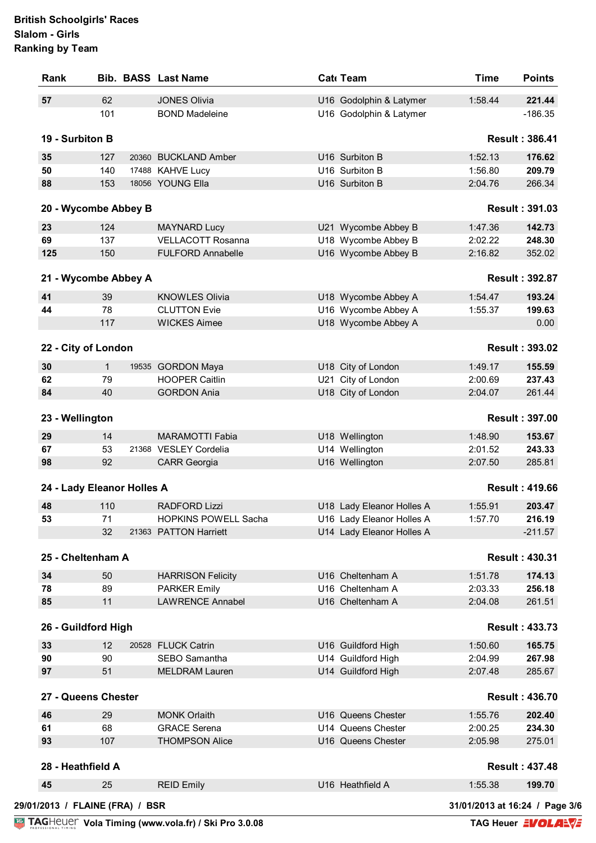| Rank                       |              | <b>Bib. BASS Last Name</b>  | Cat Team                                 | <b>Time</b> | <b>Points</b>         |
|----------------------------|--------------|-----------------------------|------------------------------------------|-------------|-----------------------|
| 57                         | 62           | <b>JONES Olivia</b>         | U16 Godolphin & Latymer                  | 1:58.44     | 221.44                |
|                            | 101          | <b>BOND Madeleine</b>       | U16 Godolphin & Latymer                  |             | $-186.35$             |
| 19 - Surbiton B            |              |                             |                                          |             | <b>Result: 386.41</b> |
| 35                         | 127          | 20360 BUCKLAND Amber        | U16 Surbiton B                           | 1:52.13     | 176.62                |
| 50                         | 140          | 17488 KAHVE Lucy            | U16 Surbiton B                           | 1:56.80     | 209.79                |
| 88                         | 153          | 18056 YOUNG Ella            | U16 Surbiton B                           | 2:04.76     | 266.34                |
| 20 - Wycombe Abbey B       |              |                             |                                          |             | <b>Result: 391.03</b> |
| 23                         | 124          | <b>MAYNARD Lucy</b>         | U21 Wycombe Abbey B                      | 1:47.36     | 142.73                |
| 69                         | 137          | <b>VELLACOTT Rosanna</b>    | U18 Wycombe Abbey B                      | 2:02.22     | 248.30                |
| 125                        | 150          | <b>FULFORD Annabelle</b>    | U16 Wycombe Abbey B                      | 2:16.82     | 352.02                |
|                            |              |                             |                                          |             |                       |
| 21 - Wycombe Abbey A       |              |                             |                                          |             | <b>Result: 392.87</b> |
| 41                         | 39           | <b>KNOWLES Olivia</b>       | U18 Wycombe Abbey A                      | 1:54.47     | 193.24                |
| 44                         | 78           | <b>CLUTTON Evie</b>         | U16 Wycombe Abbey A                      | 1:55.37     | 199.63                |
|                            | 117          | <b>WICKES Aimee</b>         | U18 Wycombe Abbey A                      |             | 0.00                  |
| 22 - City of London        |              |                             |                                          |             | <b>Result: 393.02</b> |
| 30                         | $\mathbf{1}$ | 19535 GORDON Maya           | U18 City of London                       | 1:49.17     | 155.59                |
| 62                         | 79           | <b>HOOPER Caitlin</b>       | U21 City of London                       | 2:00.69     | 237.43                |
| 84                         | 40           | <b>GORDON Ania</b>          | U18 City of London                       | 2:04.07     | 261.44                |
| 23 - Wellington            |              |                             |                                          |             | <b>Result: 397.00</b> |
| 29                         | 14           | <b>MARAMOTTI Fabia</b>      | U18 Wellington                           | 1:48.90     | 153.67                |
| 67                         | 53           | 21368 VESLEY Cordelia       | U14 Wellington                           | 2:01.52     | 243.33                |
| 98                         | 92           | <b>CARR Georgia</b>         | U16 Wellington                           | 2:07.50     | 285.81                |
|                            |              |                             |                                          |             |                       |
| 24 - Lady Eleanor Holles A |              |                             |                                          |             | <b>Result: 419.66</b> |
| 48                         | 110          | <b>RADFORD Lizzi</b>        | U18 Lady Eleanor Holles A                | 1:55.91     | 203.47                |
| 53                         | 71           | <b>HOPKINS POWELL Sacha</b> | U16 Lady Eleanor Holles A                | 1:57.70     | 216.19                |
|                            | 32           | 21363 PATTON Harriett       | U14 Lady Eleanor Holles A                |             | $-211.57$             |
| 25 - Cheltenham A          |              |                             |                                          |             | <b>Result: 430.31</b> |
| 34                         | 50           | <b>HARRISON Felicity</b>    | U16 Cheltenham A                         | 1:51.78     | 174.13                |
| 78                         | 89           | <b>PARKER Emily</b>         | U16 Cheltenham A                         | 2:03.33     | 256.18                |
| 85                         | 11           | <b>LAWRENCE Annabel</b>     | U16 Cheltenham A                         | 2:04.08     | 261.51                |
| 26 - Guildford High        |              |                             |                                          |             | <b>Result: 433.73</b> |
| 33                         | 12           | 20528 FLUCK Catrin          | U16 Guildford High                       | 1:50.60     | 165.75                |
| 90                         | 90           | SEBO Samantha               | U14 Guildford High                       | 2:04.99     | 267.98                |
| 97                         | 51           | <b>MELDRAM Lauren</b>       | U14 Guildford High                       | 2:07.48     | 285.67                |
| 27 - Queens Chester        |              |                             |                                          |             | <b>Result: 436.70</b> |
|                            | 29           | <b>MONK Orlaith</b>         |                                          | 1:55.76     |                       |
| 46<br>61                   | 68           | <b>GRACE Serena</b>         | U16 Queens Chester<br>U14 Queens Chester | 2:00.25     | 202.40<br>234.30      |
| 93                         | 107          | <b>THOMPSON Alice</b>       | U16 Queens Chester                       | 2:05.98     | 275.01                |
|                            |              |                             |                                          |             |                       |
|                            |              |                             |                                          |             | <b>Result: 437.48</b> |
| 28 - Heathfield A          |              |                             |                                          |             |                       |
| 45                         | 25           | <b>REID Emily</b>           | U16 Heathfield A                         | 1:55.38     | 199.70                |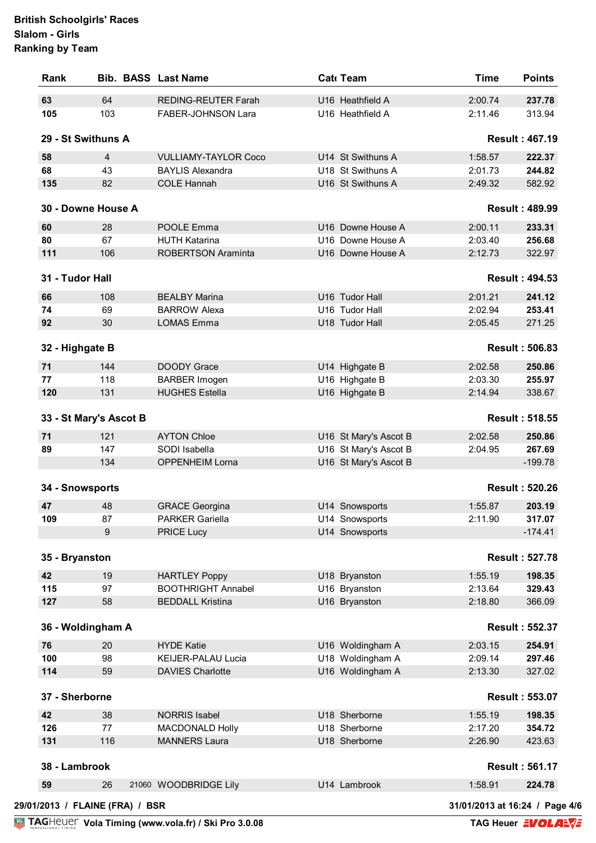| Rank               |                                 | <b>Bib. BASS Last Name</b>  | Cat Team              | <b>Time</b>                    | <b>Points</b>         |
|--------------------|---------------------------------|-----------------------------|-----------------------|--------------------------------|-----------------------|
| 63                 | 64                              | <b>REDING-REUTER Farah</b>  | U16 Heathfield A      | 2:00.74                        | 237.78                |
| 105                | 103                             | FABER-JOHNSON Lara          | U16 Heathfield A      | 2:11.46                        | 313.94                |
| 29 - St Swithuns A |                                 |                             |                       |                                | <b>Result: 467.19</b> |
| 58                 | 4                               | <b>VULLIAMY-TAYLOR Coco</b> | U14 St Swithuns A     | 1:58.57                        | 222.37                |
| 68                 | 43                              | <b>BAYLIS Alexandra</b>     | U18 St Swithuns A     | 2:01.73                        | 244.82                |
| 135                | 82                              | <b>COLE Hannah</b>          | U16 St Swithuns A     | 2:49.32                        | 582.92                |
|                    | 30 - Downe House A              |                             |                       |                                | <b>Result: 489.99</b> |
| 60                 | 28                              | POOLE Emma                  | U16 Downe House A     | 2:00.11                        | 233.31                |
| 80                 | 67                              | <b>HUTH Katarina</b>        | U16 Downe House A     | 2:03.40                        | 256.68                |
| 111                | 106                             | <b>ROBERTSON Araminta</b>   | U16 Downe House A     | 2:12.73                        | 322.97                |
| 31 - Tudor Hall    |                                 |                             |                       |                                | <b>Result: 494.53</b> |
| 66                 | 108                             | <b>BEALBY Marina</b>        | U16 Tudor Hall        | 2:01.21                        | 241.12                |
| 74                 | 69                              | <b>BARROW Alexa</b>         | U16 Tudor Hall        | 2:02.94                        | 253.41                |
| 92                 | 30                              | <b>LOMAS Emma</b>           | U18 Tudor Hall        | 2:05.45                        | 271.25                |
|                    |                                 |                             |                       |                                |                       |
| 32 - Highgate B    |                                 |                             |                       |                                | <b>Result: 506.83</b> |
| 71                 | 144                             | <b>DOODY Grace</b>          | U14 Highgate B        | 2:02.58                        | 250.86                |
| 77                 | 118                             | <b>BARBER Imogen</b>        | U16 Highgate B        | 2:03.30                        | 255.97                |
| 120                | 131                             | <b>HUGHES Estella</b>       | U16 Highgate B        | 2:14.94                        | 338.67                |
|                    | 33 - St Mary's Ascot B          |                             |                       |                                | <b>Result: 518.55</b> |
| 71                 | 121                             | <b>AYTON Chloe</b>          | U16 St Mary's Ascot B | 2:02.58                        | 250.86                |
| 89                 | 147                             | SODI Isabella               | U16 St Mary's Ascot B | 2:04.95                        | 267.69                |
|                    | 134                             | OPPENHEIM Lorna             | U16 St Mary's Ascot B |                                | $-199.78$             |
| 34 - Snowsports    |                                 |                             |                       |                                | <b>Result: 520.26</b> |
| 47                 | 48                              | <b>GRACE Georgina</b>       | U14 Snowsports        | 1:55.87                        | 203.19                |
| 109                | 87                              | <b>PARKER Gariella</b>      | U14 Snowsports        | 2:11.90                        | 317.07                |
|                    | 9                               | <b>PRICE Lucy</b>           | U14 Snowsports        |                                | $-174.41$             |
| 35 - Bryanston     |                                 |                             |                       |                                | <b>Result: 527.78</b> |
|                    |                                 |                             |                       |                                |                       |
| 42                 | 19                              | <b>HARTLEY Poppy</b>        | U18 Bryanston         | 1:55.19                        | 198.35                |
| 115                | 97                              | <b>BOOTHRIGHT Annabel</b>   | U16 Bryanston         | 2:13.64                        | 329.43                |
| 127                | 58                              | <b>BEDDALL Kristina</b>     | U16 Bryanston         | 2:18.80                        | 366.09                |
| 36 - Woldingham A  |                                 |                             |                       |                                | <b>Result: 552.37</b> |
| 76                 | 20                              | <b>HYDE Katie</b>           | U16 Woldingham A      | 2:03.15                        | 254.91                |
| 100                | 98                              | <b>KEIJER-PALAU Lucia</b>   | U18 Woldingham A      | 2:09.14                        | 297.46                |
| 114                | 59                              | <b>DAVIES Charlotte</b>     | U16 Woldingham A      | 2:13.30                        | 327.02                |
| 37 - Sherborne     |                                 |                             |                       |                                | <b>Result: 553.07</b> |
| 42                 | 38                              | <b>NORRIS Isabel</b>        | U18 Sherborne         | 1:55.19                        | 198.35                |
| 126                | 77                              | <b>MACDONALD Holly</b>      | U18 Sherborne         | 2:17.20                        | 354.72                |
| 131                | 116                             | <b>MANNERS Laura</b>        | U18 Sherborne         | 2:26.90                        | 423.63                |
| 38 - Lambrook      |                                 |                             |                       |                                | <b>Result: 561.17</b> |
| 59                 | 26                              | 21060 WOODBRIDGE Lily       | U14 Lambrook          | 1:58.91                        | 224.78                |
|                    | 29/01/2013 / FLAINE (FRA) / BSR |                             |                       | 31/01/2013 at 16:24 / Page 4/6 |                       |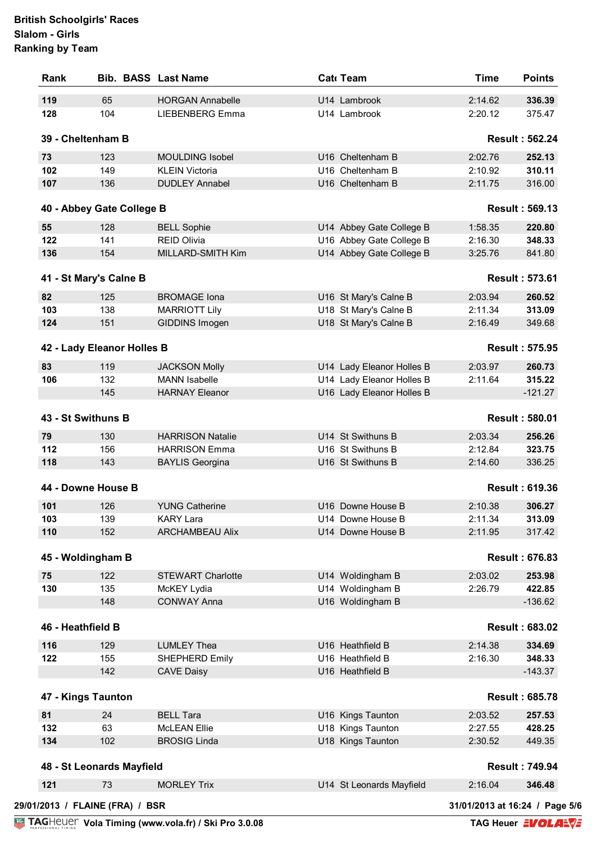| Rank                       |          | <b>Bib. BASS Last Name</b>              | Cat Team                               | <b>Time</b>        | <b>Points</b>                   |
|----------------------------|----------|-----------------------------------------|----------------------------------------|--------------------|---------------------------------|
| 119                        | 65       | <b>HORGAN Annabelle</b>                 | U14 Lambrook                           | 2:14.62            | 336.39                          |
| 128                        | 104      | <b>LIEBENBERG Emma</b>                  | U14 Lambrook                           | 2:20.12            | 375.47                          |
| 39 - Cheltenham B          |          |                                         |                                        |                    | <b>Result: 562.24</b>           |
| 73                         | 123      | <b>MOULDING Isobel</b>                  | U16 Cheltenham B                       | 2:02.76            | 252.13                          |
| 102                        | 149      | <b>KLEIN Victoria</b>                   | U16 Cheltenham B                       | 2:10.92            | 310.11                          |
| 107                        | 136      | <b>DUDLEY Annabel</b>                   | U16 Cheltenham B                       | 2:11.75            | 316.00                          |
| 40 - Abbey Gate College B  |          |                                         |                                        |                    | <b>Result: 569.13</b>           |
| 55                         | 128      | <b>BELL Sophie</b>                      | U14 Abbey Gate College B               | 1:58.35            | 220.80                          |
| 122                        | 141      | <b>REID Olivia</b>                      | U16 Abbey Gate College B               | 2:16.30            | 348.33                          |
| 136                        | 154      | MILLARD-SMITH Kim                       | U14 Abbey Gate College B               | 3:25.76            | 841.80                          |
|                            |          |                                         |                                        |                    |                                 |
| 41 - St Mary's Calne B     |          |                                         |                                        |                    | <b>Result: 573.61</b>           |
| 82                         | 125      | <b>BROMAGE Iona</b>                     | U16 St Mary's Calne B                  | 2:03.94            | 260.52                          |
| 103                        | 138      | <b>MARRIOTT Lily</b>                    | U18 St Mary's Calne B                  | 2:11.34            | 313.09                          |
| 124                        | 151      | GIDDINS Imogen                          | U18 St Mary's Calne B                  | 2:16.49            | 349.68                          |
| 42 - Lady Eleanor Holles B |          |                                         |                                        |                    | <b>Result: 575.95</b>           |
| 83                         | 119      | <b>JACKSON Molly</b>                    | U14 Lady Eleanor Holles B              | 2:03.97            | 260.73                          |
| 106                        | 132      | <b>MANN</b> Isabelle                    | U14 Lady Eleanor Holles B              | 2:11.64            | 315.22                          |
|                            | 145      | <b>HARNAY Eleanor</b>                   | U16 Lady Eleanor Holles B              |                    | $-121.27$                       |
| 43 - St Swithuns B         |          |                                         |                                        |                    | <b>Result: 580.01</b>           |
| 79                         | 130      | <b>HARRISON Natalie</b>                 | U14 St Swithuns B                      | 2:03.34            | 256.26                          |
| 112                        | 156      | <b>HARRISON Emma</b>                    | U16 St Swithuns B                      | 2:12.84            | 323.75                          |
| 118                        | 143      |                                         | U16 St Swithuns B                      | 2:14.60            | 336.25                          |
|                            |          | <b>BAYLIS Georgina</b>                  |                                        |                    |                                 |
| 44 - Downe House B         |          |                                         |                                        |                    | <b>Result: 619.36</b>           |
| 101                        | 126      | <b>YUNG Catherine</b>                   | U16 Downe House B                      | 2:10.38            | 306.27                          |
| 103                        | 139      | <b>KARY Lara</b>                        | U14 Downe House B                      | 2:11.34            | 313.09                          |
| 110                        | 152      | <b>ARCHAMBEAU Alix</b>                  | U14 Downe House B                      | 2:11.95            | 317.42                          |
| 45 - Woldingham B          |          |                                         |                                        |                    | <b>Result: 676.83</b>           |
| 75                         | 122      | <b>STEWART Charlotte</b>                | U14 Woldingham B                       | 2:03.02            | 253.98                          |
| 130                        | 135      | McKEY Lydia                             | U14 Woldingham B                       | 2:26.79            | 422.85                          |
|                            | 148      | <b>CONWAY Anna</b>                      | U16 Woldingham B                       |                    | $-136.62$                       |
| 46 - Heathfield B          |          |                                         |                                        |                    | <b>Result: 683.02</b>           |
| 116                        | 129      | <b>LUMLEY Thea</b>                      | U16 Heathfield B                       | 2:14.38            | 334.69                          |
| 122                        | 155      | SHEPHERD Emily                          | U16 Heathfield B                       | 2:16.30            | 348.33                          |
|                            | 142      | <b>CAVE Daisy</b>                       | U16 Heathfield B                       |                    | $-143.37$                       |
| 47 - Kings Taunton         |          |                                         |                                        |                    | <b>Result: 685.78</b>           |
|                            |          |                                         |                                        |                    |                                 |
| 81<br>132                  | 24<br>63 | <b>BELL Tara</b><br><b>McLEAN Ellie</b> | U16 Kings Taunton                      | 2:03.52            | 257.53<br>428.25                |
| 134                        | 102      | <b>BROSIG Linda</b>                     | U18 Kings Taunton<br>U18 Kings Taunton | 2:27.55<br>2:30.52 | 449.35                          |
|                            |          |                                         |                                        |                    |                                 |
| 48 - St Leonards Mayfield  | 73       | <b>MORLEY Trix</b>                      | U14 St Leonards Mayfield               | 2:16.04            | <b>Result: 749.94</b><br>346.48 |
|                            |          |                                         |                                        |                    |                                 |
| 121                        |          |                                         |                                        |                    |                                 |